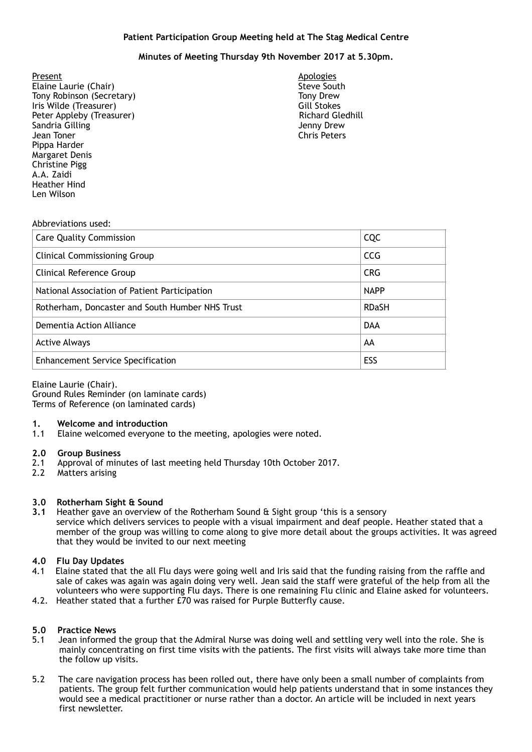## **Patient Participation Group Meeting held at The Stag Medical Centre**

# **Minutes of Meeting Thursday 9th November 2017 at 5.30pm.**

<u>Present</u> Apologies **Apologies Elaine Laurie (Chair)** Steve South Steve South Tony Robinson (Secretary) Tony Drew<br>Tony Drew (Treasurer) Tony Drew (Gill Stokes Iris Wilde (Treasurer) Gill Stokes Peter Appleby (Treasurer) Sandria Gilling **Sandria Gilling** Jenny Drew Jean Toner Chris Peters Pippa Harder Margaret Denis Christine Pigg A.A. Zaidi Heather Hind Len Wilson

#### Abbreviations used:

| <b>Care Quality Commission</b>                  | CQC          |
|-------------------------------------------------|--------------|
| <b>Clinical Commissioning Group</b>             | <b>CCG</b>   |
| Clinical Reference Group                        | <b>CRG</b>   |
| National Association of Patient Participation   | <b>NAPP</b>  |
| Rotherham, Doncaster and South Humber NHS Trust | <b>RDaSH</b> |
| Dementia Action Alliance                        | <b>DAA</b>   |
| <b>Active Always</b>                            | AA           |
| <b>Enhancement Service Specification</b>        | ESS          |

Elaine Laurie (Chair). Ground Rules Reminder (on laminate cards) Terms of Reference (on laminated cards)

- **1. Welcome and introduction**
- Elaine welcomed everyone to the meeting, apologies were noted.

### **2.0 Group Business**

- 2.1 Approval of minutes of last meeting held Thursday 10th October 2017.
- 2.2 Matters arising

### **3.0 Rotherham Sight & Sound**

**3.1** Heather gave an overview of the Rotherham Sound & Sight group 'this is a sensory service which delivers services to people with a visual impairment and deaf people. Heather stated that a member of the group was willing to come along to give more detail about the groups activities. It was agreed that they would be invited to our next meeting

## **4.0 Flu Day Updates**

- 4.1 Elaine stated that the all Flu days were going well and Iris said that the funding raising from the raffle and sale of cakes was again was again doing very well. Jean said the staff were grateful of the help from all the volunteers who were supporting Flu days. There is one remaining Flu clinic and Elaine asked for volunteers.
- 4.2. Heather stated that a further £70 was raised for Purple Butterfly cause.

### **5.0 Practice News**

- 5.1 Jean informed the group that the Admiral Nurse was doing well and settling very well into the role. She is mainly concentrating on first time visits with the patients. The first visits will always take more time than the follow up visits.
- 5.2 The care navigation process has been rolled out, there have only been a small number of complaints from patients. The group felt further communication would help patients understand that in some instances they would see a medical practitioner or nurse rather than a doctor. An article will be included in next years first newsletter.